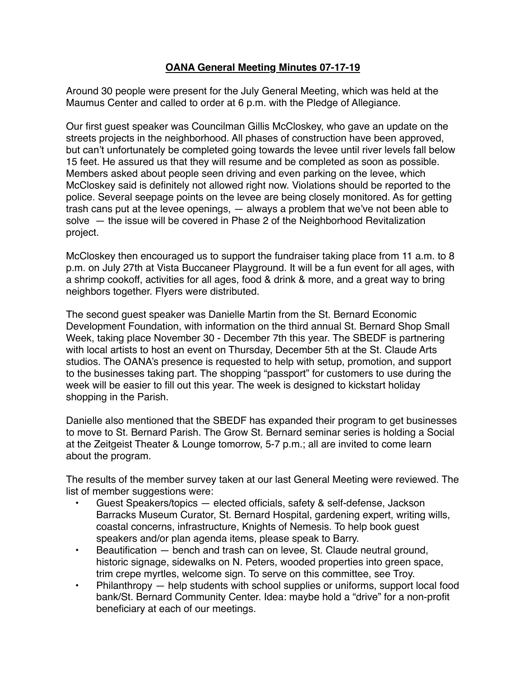## **OANA General Meeting Minutes 07-17-19**

Around 30 people were present for the July General Meeting, which was held at the Maumus Center and called to order at 6 p.m. with the Pledge of Allegiance.

Our first guest speaker was Councilman Gillis McCloskey, who gave an update on the streets projects in the neighborhood. All phases of construction have been approved, but can't unfortunately be completed going towards the levee until river levels fall below 15 feet. He assured us that they will resume and be completed as soon as possible. Members asked about people seen driving and even parking on the levee, which McCloskey said is definitely not allowed right now. Violations should be reported to the police. Several seepage points on the levee are being closely monitored. As for getting trash cans put at the levee openings, — always a problem that we've not been able to solve — the issue will be covered in Phase 2 of the Neighborhood Revitalization project.

McCloskey then encouraged us to support the fundraiser taking place from 11 a.m. to 8 p.m. on July 27th at Vista Buccaneer Playground. It will be a fun event for all ages, with a shrimp cookoff, activities for all ages, food & drink & more, and a great way to bring neighbors together. Flyers were distributed.

The second guest speaker was Danielle Martin from the St. Bernard Economic Development Foundation, with information on the third annual St. Bernard Shop Small Week, taking place November 30 - December 7th this year. The SBEDF is partnering with local artists to host an event on Thursday, December 5th at the St. Claude Arts studios. The OANA's presence is requested to help with setup, promotion, and support to the businesses taking part. The shopping "passport" for customers to use during the week will be easier to fill out this year. The week is designed to kickstart holiday shopping in the Parish.

Danielle also mentioned that the SBEDF has expanded their program to get businesses to move to St. Bernard Parish. The Grow St. Bernard seminar series is holding a Social at the Zeitgeist Theater & Lounge tomorrow, 5-7 p.m.; all are invited to come learn about the program.

The results of the member survey taken at our last General Meeting were reviewed. The list of member suggestions were:

- Guest Speakers/topics elected officials, safety & self-defense, Jackson Barracks Museum Curator, St. Bernard Hospital, gardening expert, writing wills, coastal concerns, infrastructure, Knights of Nemesis. To help book guest speakers and/or plan agenda items, please speak to Barry.
- Beautification bench and trash can on levee, St. Claude neutral ground, historic signage, sidewalks on N. Peters, wooded properties into green space, trim crepe myrtles, welcome sign. To serve on this committee, see Troy.
- Philanthropy help students with school supplies or uniforms, support local food bank/St. Bernard Community Center. Idea: maybe hold a "drive" for a non-profit beneficiary at each of our meetings.